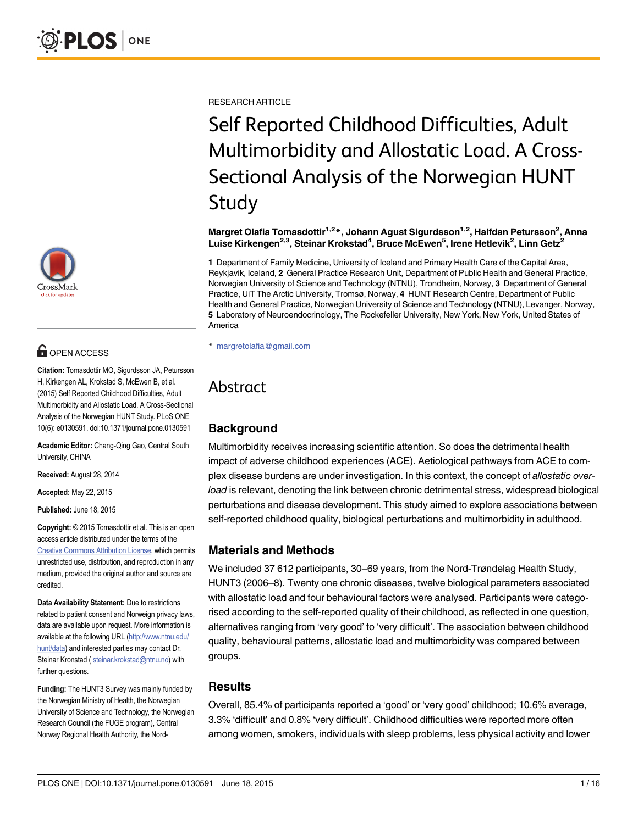

# **G** OPEN ACCESS

Citation: Tomasdottir MO, Sigurdsson JA, Petursson H, Kirkengen AL, Krokstad S, McEwen B, et al. (2015) Self Reported Childhood Difficulties, Adult Multimorbidity and Allostatic Load. A Cross-Sectional Analysis of the Norwegian HUNT Study. PLoS ONE 10(6): e0130591. doi:10.1371/journal.pone.0130591

Academic Editor: Chang-Qing Gao, Central South University, CHINA

Received: August 28, 2014

Accepted: May 22, 2015

Published: June 18, 2015

Copyright: © 2015 Tomasdottir et al. This is an open access article distributed under the terms of the [Creative Commons Attribution License,](http://creativecommons.org/licenses/by/4.0/) which permits unrestricted use, distribution, and reproduction in any medium, provided the original author and source are credited.

Data Availability Statement: Due to restrictions related to patient consent and Norweign privacy laws, data are available upon request. More information is available at the following URL ([http://www.ntnu.edu/](http://www.ntnu.edu/hunt/data) [hunt/data](http://www.ntnu.edu/hunt/data)) and interested parties may contact Dr. Steinar Kronstad ( steinar.krokstad@ntnu.no) with further questions.

Funding: The HUNT3 Survey was mainly funded by the Norwegian Ministry of Health, the Norwegian University of Science and Technology, the Norwegian Research Council (the FUGE program), Central Norway Regional Health Authority, the NordRESEARCH ARTICLE

# Self Reported Childhood Difficulties, Adult Multimorbidity and Allostatic Load. A Cross-Sectional Analysis of the Norwegian HUNT Study

Margret Olafia Tomasdottir<sup>1,2</sup>\*, Johann Agust Sigurdsson<sup>1,2</sup>, Halfdan Petursson<sup>2</sup>, Anna Luise Kirkengen<sup>2,3</sup>, Steinar Krokstad<sup>4</sup>, Bruce McEwen<sup>5</sup>, Irene Hetlevik<sup>2</sup>, Linn Getz<sup>2</sup>

1 Department of Family Medicine, University of Iceland and Primary Health Care of the Capital Area, Reykjavik, Iceland, 2 General Practice Research Unit, Department of Public Health and General Practice, Norwegian University of Science and Technology (NTNU), Trondheim, Norway, 3 Department of General Practice, UiT The Arctic University, Tromsø, Norway, 4 HUNT Research Centre, Department of Public Health and General Practice, Norwegian University of Science and Technology (NTNU), Levanger, Norway, 5 Laboratory of Neuroendocrinology, The Rockefeller University, New York, New York, United States of America

\* margretolafia@gmail.com

# Abstract

# **Background**

Multimorbidity receives increasing scientific attention. So does the detrimental health impact of adverse childhood experiences (ACE). Aetiological pathways from ACE to complex disease burdens are under investigation. In this context, the concept of allostatic overload is relevant, denoting the link between chronic detrimental stress, widespread biological perturbations and disease development. This study aimed to explore associations between self-reported childhood quality, biological perturbations and multimorbidity in adulthood.

# Materials and Methods

We included 37 612 participants, 30–69 years, from the Nord-Trøndelag Health Study, HUNT3 (2006–8). Twenty one chronic diseases, twelve biological parameters associated with allostatic load and four behavioural factors were analysed. Participants were categorised according to the self-reported quality of their childhood, as reflected in one question, alternatives ranging from 'very good' to 'very difficult'. The association between childhood quality, behavioural patterns, allostatic load and multimorbidity was compared between groups.

#### **Results**

Overall, 85.4% of participants reported a 'good' or 'very good' childhood; 10.6% average, 3.3% 'difficult' and 0.8% 'very difficult'. Childhood difficulties were reported more often among women, smokers, individuals with sleep problems, less physical activity and lower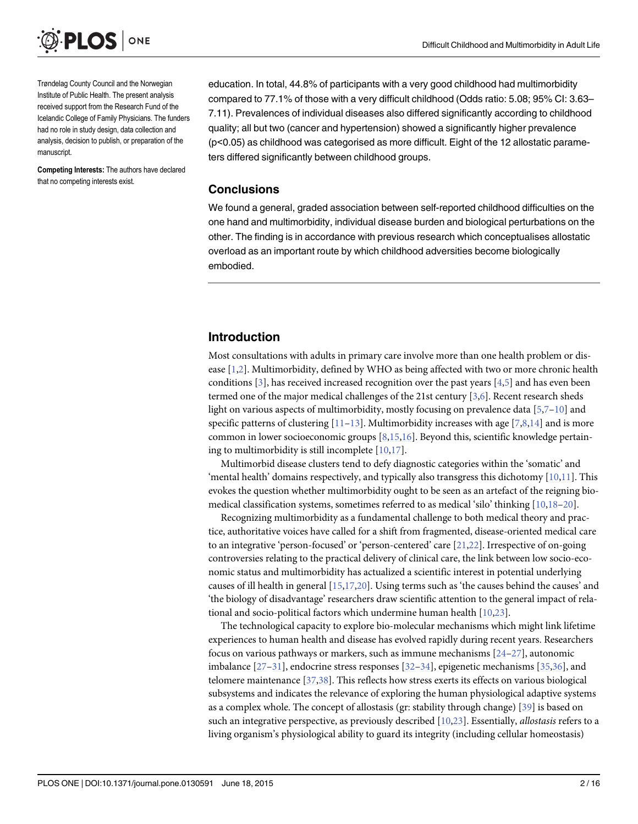<span id="page-1-0"></span>

Trøndelag County Council and the Norwegian Institute of Public Health. The present analysis received support from the Research Fund of the Icelandic College of Family Physicians. The funders had no role in study design, data collection and analysis, decision to publish, or preparation of the manuscript.

Competing Interests: The authors have declared that no competing interests exist.

education. In total, 44.8% of participants with a very good childhood had multimorbidity compared to 77.1% of those with a very difficult childhood (Odds ratio: 5.08; 95% CI: 3.63– 7.11). Prevalences of individual diseases also differed significantly according to childhood quality; all but two (cancer and hypertension) showed a significantly higher prevalence (p<0.05) as childhood was categorised as more difficult. Eight of the 12 allostatic parameters differed significantly between childhood groups.

#### **Conclusions**

We found a general, graded association between self-reported childhood difficulties on the one hand and multimorbidity, individual disease burden and biological perturbations on the other. The finding is in accordance with previous research which conceptualises allostatic overload as an important route by which childhood adversities become biologically embodied.

#### Introduction

Most consultations with adults in primary care involve more than one health problem or disease  $[1,2]$  $[1,2]$ . Multimorbidity, defined by WHO as being affected with two or more chronic health conditions  $[3]$  $[3]$ , has received increased recognition over the past years  $[4,5]$  $[4,5]$  and has even been termed one of the major medical challenges of the 21st century [[3](#page-11-0),[6](#page-11-0)]. Recent research sheds light on various aspects of multimorbidity, mostly focusing on prevalence data  $[5,7-10]$  $[5,7-10]$  $[5,7-10]$  and specific patterns of clustering  $[11–13]$  $[11–13]$  $[11–13]$  $[11–13]$ . Multimorbidity increases with age  $[7,8,14]$  and is more common in lower socioeconomic groups  $[8,15,16]$  $[8,15,16]$  $[8,15,16]$  $[8,15,16]$  $[8,15,16]$ . Beyond this, scientific knowledge pertaining to multimorbidity is still incomplete [[10](#page-11-0)[,17\]](#page-12-0).

Multimorbid disease clusters tend to defy diagnostic categories within the 'somatic' and 'mental health' domains respectively, and typically also transgress this dichotomy  $[10,11]$  $[10,11]$  $[10,11]$  $[10,11]$  $[10,11]$ . This evokes the question whether multimorbidity ought to be seen as an artefact of the reigning biomedical classification systems, sometimes referred to as medical 'silo' thinking [\[10,](#page-11-0)[18](#page-12-0)–[20](#page-12-0)].

Recognizing multimorbidity as a fundamental challenge to both medical theory and practice, authoritative voices have called for a shift from fragmented, disease-oriented medical care to an integrative 'person-focused' or 'person-centered' care [\[21,22\]](#page-12-0). Irrespective of on-going controversies relating to the practical delivery of clinical care, the link between low socio-economic status and multimorbidity has actualized a scientific interest in potential underlying causes of ill health in general [\[15,](#page-11-0)[17](#page-12-0),[20](#page-12-0)]. Using terms such as 'the causes behind the causes' and 'the biology of disadvantage' researchers draw scientific attention to the general impact of relational and socio-political factors which undermine human health [\[10,](#page-11-0)[23](#page-12-0)].

The technological capacity to explore bio-molecular mechanisms which might link lifetime experiences to human health and disease has evolved rapidly during recent years. Researchers focus on various pathways or markers, such as immune mechanisms  $[24-27]$  $[24-27]$  $[24-27]$ , autonomic imbalance  $[27-31]$  $[27-31]$  $[27-31]$ , endocrine stress responses  $[32-34]$  $[32-34]$  $[32-34]$  $[32-34]$  $[32-34]$ , epigenetic mechanisms  $[35,36]$  $[35,36]$ , and telomere maintenance [[37,38](#page-12-0)]. This reflects how stress exerts its effects on various biological subsystems and indicates the relevance of exploring the human physiological adaptive systems as a complex whole. The concept of allostasis (gr: stability through change) [\[39\]](#page-12-0) is based on such an integrative perspective, as previously described  $[10,23]$  $[10,23]$  $[10,23]$ . Essentially, *allostasis* refers to a living organism's physiological ability to guard its integrity (including cellular homeostasis)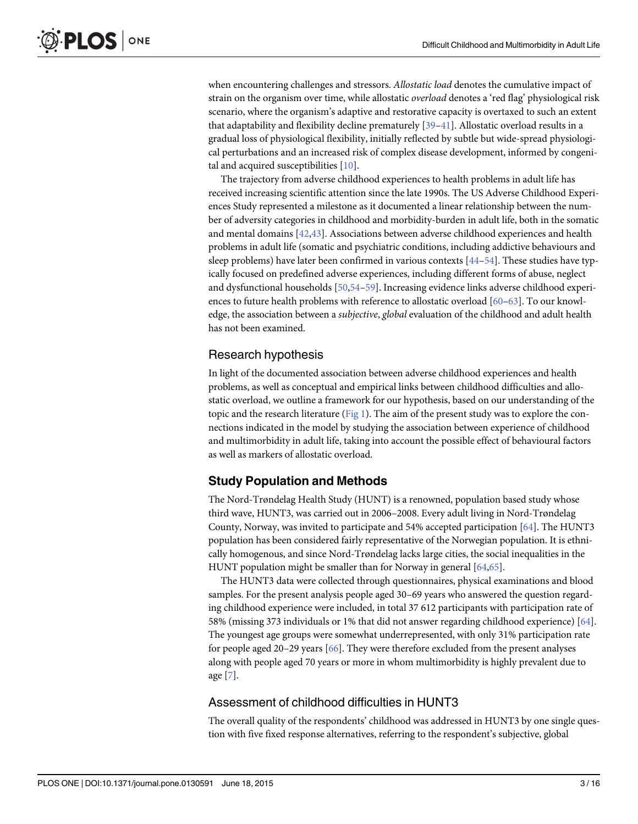<span id="page-2-0"></span>when encountering challenges and stressors. Allostatic load denotes the cumulative impact of strain on the organism over time, while allostatic overload denotes a 'red flag' physiological risk scenario, where the organism's adaptive and restorative capacity is overtaxed to such an extent that adaptability and flexibility decline prematurely  $[39-41]$  $[39-41]$  $[39-41]$ . Allostatic overload results in a gradual loss of physiological flexibility, initially reflected by subtle but wide-spread physiological perturbations and an increased risk of complex disease development, informed by congeni-tal and acquired susceptibilities [[10](#page-11-0)].

The trajectory from adverse childhood experiences to health problems in adult life has received increasing scientific attention since the late 1990s. The US Adverse Childhood Experiences Study represented a milestone as it documented a linear relationship between the number of adversity categories in childhood and morbidity-burden in adult life, both in the somatic and mental domains  $[42,43]$  $[42,43]$ . Associations between adverse childhood experiences and health problems in adult life (somatic and psychiatric conditions, including addictive behaviours and sleep problems) have later been confirmed in various contexts [\[44](#page-13-0)–[54\]](#page-13-0). These studies have typically focused on predefined adverse experiences, including different forms of abuse, neglect and dysfunctional households [\[50,54](#page-13-0)–[59](#page-13-0)]. Increasing evidence links adverse childhood experiences to future health problems with reference to allostatic overload [\[60](#page-13-0)–[63\]](#page-14-0). To our knowledge, the association between a subjective, global evaluation of the childhood and adult health has not been examined.

# Research hypothesis

In light of the documented association between adverse childhood experiences and health problems, as well as conceptual and empirical links between childhood difficulties and allostatic overload, we outline a framework for our hypothesis, based on our understanding of the topic and the research literature ([Fig 1\)](#page-3-0). The aim of the present study was to explore the connections indicated in the model by studying the association between experience of childhood and multimorbidity in adult life, taking into account the possible effect of behavioural factors as well as markers of allostatic overload.

# Study Population and Methods

The Nord-Trøndelag Health Study (HUNT) is a renowned, population based study whose third wave, HUNT3, was carried out in 2006–2008. Every adult living in Nord-Trøndelag County, Norway, was invited to participate and 54% accepted participation [\[64\]](#page-14-0). The HUNT3 population has been considered fairly representative of the Norwegian population. It is ethnically homogenous, and since Nord-Trøndelag lacks large cities, the social inequalities in the HUNT population might be smaller than for Norway in general [[64](#page-14-0),[65](#page-14-0)].

The HUNT3 data were collected through questionnaires, physical examinations and blood samples. For the present analysis people aged 30–69 years who answered the question regarding childhood experience were included, in total 37 612 participants with participation rate of 58% (missing 373 individuals or 1% that did not answer regarding childhood experience) [\[64\]](#page-14-0). The youngest age groups were somewhat underrepresented, with only 31% participation rate for people aged 20–29 years  $[66]$ . They were therefore excluded from the present analyses along with people aged 70 years or more in whom multimorbidity is highly prevalent due to age  $[7]$  $[7]$ .

#### Assessment of childhood difficulties in HUNT3

The overall quality of the respondents' childhood was addressed in HUNT3 by one single question with five fixed response alternatives, referring to the respondent's subjective, global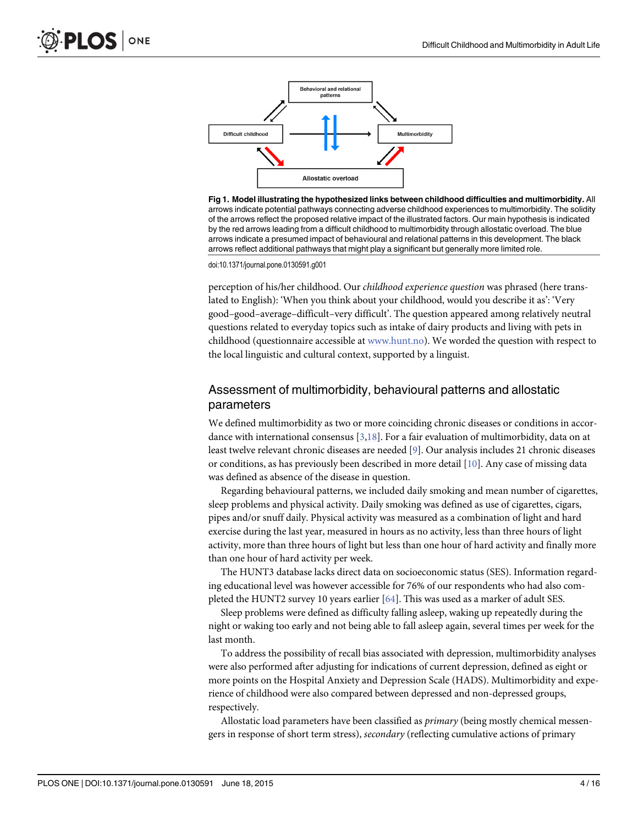<span id="page-3-0"></span>

[Fig 1. M](#page-2-0)odel illustrating the hypothesized links between childhood difficulties and multimorbidity. All arrows indicate potential pathways connecting adverse childhood experiences to multimorbidity. The solidity of the arrows reflect the proposed relative impact of the illustrated factors. Our main hypothesis is indicated by the red arrows leading from a difficult childhood to multimorbidity through allostatic overload. The blue arrows indicate a presumed impact of behavioural and relational patterns in this development. The black arrows reflect additional pathways that might play a significant but generally more limited role.

doi:10.1371/journal.pone.0130591.g001

perception of his/her childhood. Our childhood experience question was phrased (here translated to English): 'When you think about your childhood, would you describe it as': 'Very good–good–average–difficult–very difficult'. The question appeared among relatively neutral questions related to everyday topics such as intake of dairy products and living with pets in childhood (questionnaire accessible at [www.hunt.no\)](http://www.hunt.no/). We worded the question with respect to the local linguistic and cultural context, supported by a linguist.

# Assessment of multimorbidity, behavioural patterns and allostatic parameters

We defined multimorbidity as two or more coinciding chronic diseases or conditions in accordance with international consensus [\[3](#page-11-0)[,18\]](#page-12-0). For a fair evaluation of multimorbidity, data on at least twelve relevant chronic diseases are needed [\[9\]](#page-11-0). Our analysis includes 21 chronic diseases or conditions, as has previously been described in more detail [\[10](#page-11-0)]. Any case of missing data was defined as absence of the disease in question.

Regarding behavioural patterns, we included daily smoking and mean number of cigarettes, sleep problems and physical activity. Daily smoking was defined as use of cigarettes, cigars, pipes and/or snuff daily. Physical activity was measured as a combination of light and hard exercise during the last year, measured in hours as no activity, less than three hours of light activity, more than three hours of light but less than one hour of hard activity and finally more than one hour of hard activity per week.

The HUNT3 database lacks direct data on socioeconomic status (SES). Information regarding educational level was however accessible for 76% of our respondents who had also completed the HUNT2 survey 10 years earlier [[64\]](#page-14-0). This was used as a marker of adult SES.

Sleep problems were defined as difficulty falling asleep, waking up repeatedly during the night or waking too early and not being able to fall asleep again, several times per week for the last month.

To address the possibility of recall bias associated with depression, multimorbidity analyses were also performed after adjusting for indications of current depression, defined as eight or more points on the Hospital Anxiety and Depression Scale (HADS). Multimorbidity and experience of childhood were also compared between depressed and non-depressed groups, respectively.

Allostatic load parameters have been classified as *primary* (being mostly chemical messengers in response of short term stress), secondary (reflecting cumulative actions of primary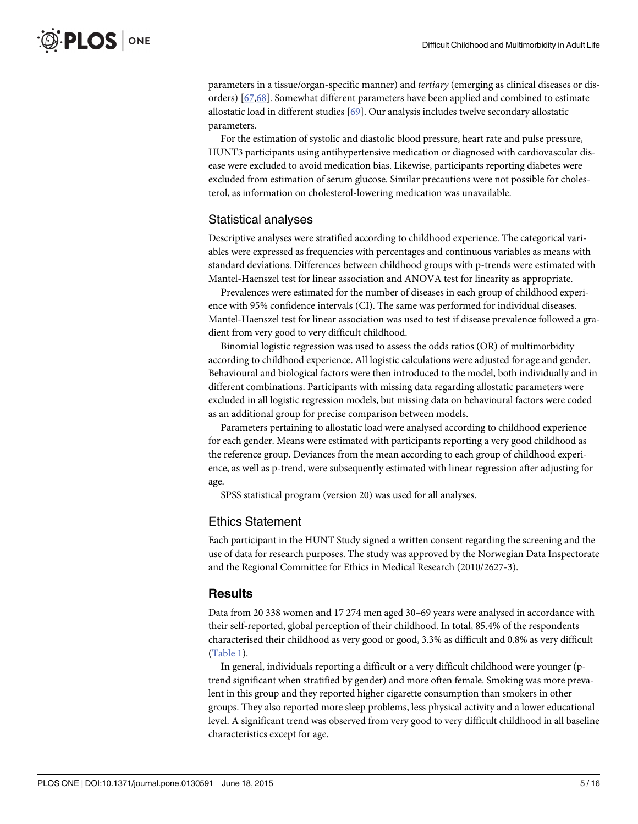<span id="page-4-0"></span>parameters in a tissue/organ-specific manner) and tertiary (emerging as clinical diseases or disorders) [\[67,68\]](#page-14-0). Somewhat different parameters have been applied and combined to estimate allostatic load in different studies [\[69\]](#page-14-0). Our analysis includes twelve secondary allostatic parameters.

For the estimation of systolic and diastolic blood pressure, heart rate and pulse pressure, HUNT3 participants using antihypertensive medication or diagnosed with cardiovascular disease were excluded to avoid medication bias. Likewise, participants reporting diabetes were excluded from estimation of serum glucose. Similar precautions were not possible for cholesterol, as information on cholesterol-lowering medication was unavailable.

#### Statistical analyses

Descriptive analyses were stratified according to childhood experience. The categorical variables were expressed as frequencies with percentages and continuous variables as means with standard deviations. Differences between childhood groups with p-trends were estimated with Mantel-Haenszel test for linear association and ANOVA test for linearity as appropriate.

Prevalences were estimated for the number of diseases in each group of childhood experience with 95% confidence intervals (CI). The same was performed for individual diseases. Mantel-Haenszel test for linear association was used to test if disease prevalence followed a gradient from very good to very difficult childhood.

Binomial logistic regression was used to assess the odds ratios (OR) of multimorbidity according to childhood experience. All logistic calculations were adjusted for age and gender. Behavioural and biological factors were then introduced to the model, both individually and in different combinations. Participants with missing data regarding allostatic parameters were excluded in all logistic regression models, but missing data on behavioural factors were coded as an additional group for precise comparison between models.

Parameters pertaining to allostatic load were analysed according to childhood experience for each gender. Means were estimated with participants reporting a very good childhood as the reference group. Deviances from the mean according to each group of childhood experience, as well as p-trend, were subsequently estimated with linear regression after adjusting for age.

SPSS statistical program (version 20) was used for all analyses.

#### Ethics Statement

Each participant in the HUNT Study signed a written consent regarding the screening and the use of data for research purposes. The study was approved by the Norwegian Data Inspectorate and the Regional Committee for Ethics in Medical Research (2010/2627-3).

#### **Results**

Data from 20 338 women and 17 274 men aged 30–69 years were analysed in accordance with their self-reported, global perception of their childhood. In total, 85.4% of the respondents characterised their childhood as very good or good, 3.3% as difficult and 0.8% as very difficult [\(Table 1\)](#page-5-0).

In general, individuals reporting a difficult or a very difficult childhood were younger (ptrend significant when stratified by gender) and more often female. Smoking was more prevalent in this group and they reported higher cigarette consumption than smokers in other groups. They also reported more sleep problems, less physical activity and a lower educational level. A significant trend was observed from very good to very difficult childhood in all baseline characteristics except for age.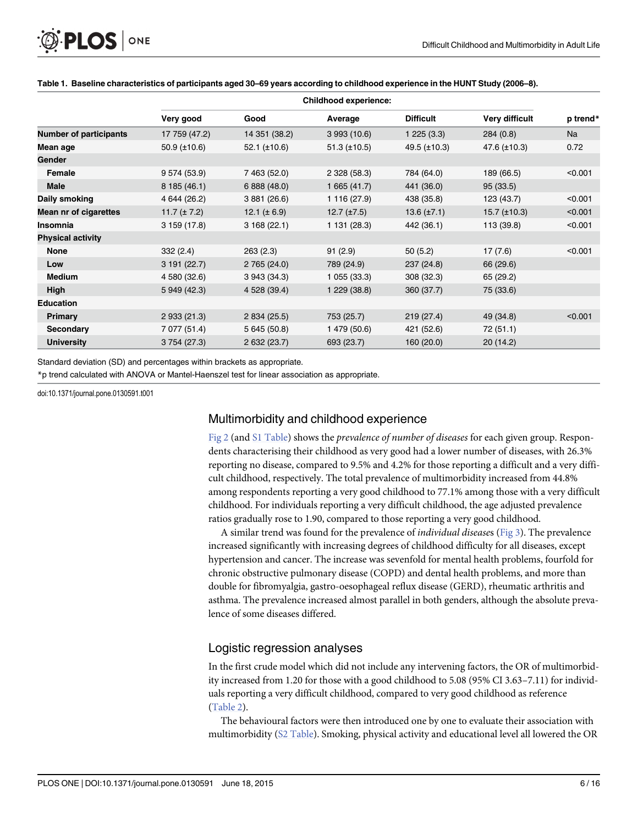<span id="page-5-0"></span>

|                               | <b>Childhood experience:</b> |                   |                     |                    |                   |          |
|-------------------------------|------------------------------|-------------------|---------------------|--------------------|-------------------|----------|
|                               | Very good                    | Good              | Average             | <b>Difficult</b>   | Very difficult    | p trend* |
| <b>Number of participants</b> | 17 759 (47.2)                | 14 351 (38.2)     | 3993(10.6)          | 1225(3.3)          | 284(0.8)          | Na       |
| Mean age                      | $50.9 \ (\pm 10.6)$          | $52.1$ (±10.6)    | $51.3 \ (\pm 10.5)$ | $49.5 (\pm 10.3)$  | 47.6 $(\pm 10.3)$ | 0.72     |
| Gender                        |                              |                   |                     |                    |                   |          |
| Female                        | 9 574 (53.9)                 | 7 463 (52.0)      | 2 328 (58.3)        | 784 (64.0)         | 189 (66.5)        | < 0.001  |
| <b>Male</b>                   | 8 185 (46.1)                 | 6 888 (48.0)      | 1665(41.7)          | 441 (36.0)         | 95(33.5)          |          |
| Daily smoking                 | 4 644 (26.2)                 | 3 881 (26.6)      | 1 116 (27.9)        | 438 (35.8)         | 123 (43.7)        | < 0.001  |
| Mean nr of cigarettes         | 11.7 $(\pm 7.2)$             | 12.1 ( $\pm$ 6.9) | $12.7 \ (\pm 7.5)$  | $13.6 \ (\pm 7.1)$ | $15.7 (\pm 10.3)$ | < 0.001  |
| Insomnia                      | 3159(17.8)                   | 3168(22.1)        | 1 131 (28.3)        | 442 (36.1)         | 113 (39.8)        | < 0.001  |
| <b>Physical activity</b>      |                              |                   |                     |                    |                   |          |
| None                          | 332(2.4)                     | 263(2.3)          | 91(2.9)             | 50(5.2)            | 17(7.6)           | < 0.001  |
| Low                           | 3191(22.7)                   | 2 765 (24.0)      | 789 (24.9)          | 237 (24.8)         | 66 (29.6)         |          |
| <b>Medium</b>                 | 4 580 (32.6)                 | 3 943 (34.3)      | 1055(33.3)          | 308 (32.3)         | 65 (29.2)         |          |
| High                          | 5 949 (42.3)                 | 4 528 (39.4)      | 1 229 (38.8)        | 360 (37.7)         | 75 (33.6)         |          |
| <b>Education</b>              |                              |                   |                     |                    |                   |          |
| Primary                       | 2 933 (21.3)                 | 2 834 (25.5)      | 753 (25.7)          | 219 (27.4)         | 49 (34.8)         | < 0.001  |
| <b>Secondary</b>              | 7 077 (51.4)                 | 5 645 (50.8)      | 1 479 (50.6)        | 421 (52.6)         | 72(51.1)          |          |
| <b>University</b>             | 3 754 (27.3)                 | 2 632 (23.7)      | 693 (23.7)          | 160(20.0)          | 20(14.2)          |          |

#### [Table 1.](#page-4-0) Baseline characteristics of participants aged 30–69 years according to childhood experience in the HUNT Study (2006–8).

Standard deviation (SD) and percentages within brackets as appropriate.

\*p trend calculated with ANOVA or Mantel-Haenszel test for linear association as appropriate.

doi:10.1371/journal.pone.0130591.t001

#### Multimorbidity and childhood experience

[Fig 2](#page-6-0) (and [S1 Table](#page-10-0)) shows the prevalence of number of diseases for each given group. Respondents characterising their childhood as very good had a lower number of diseases, with 26.3% reporting no disease, compared to 9.5% and 4.2% for those reporting a difficult and a very difficult childhood, respectively. The total prevalence of multimorbidity increased from 44.8% among respondents reporting a very good childhood to 77.1% among those with a very difficult childhood. For individuals reporting a very difficult childhood, the age adjusted prevalence ratios gradually rose to 1.90, compared to those reporting a very good childhood.

A similar trend was found for the prevalence of *individual diseases* ( $Fig 3$ ). The prevalence increased significantly with increasing degrees of childhood difficulty for all diseases, except hypertension and cancer. The increase was sevenfold for mental health problems, fourfold for chronic obstructive pulmonary disease (COPD) and dental health problems, and more than double for fibromyalgia, gastro-oesophageal reflux disease (GERD), rheumatic arthritis and asthma. The prevalence increased almost parallel in both genders, although the absolute prevalence of some diseases differed.

#### Logistic regression analyses

In the first crude model which did not include any intervening factors, the OR of multimorbidity increased from 1.20 for those with a good childhood to 5.08 (95% CI 3.63–7.11) for individuals reporting a very difficult childhood, compared to very good childhood as reference [\(Table 2\)](#page-7-0).

The behavioural factors were then introduced one by one to evaluate their association with multimorbidity ([S2 Table\)](#page-10-0). Smoking, physical activity and educational level all lowered the OR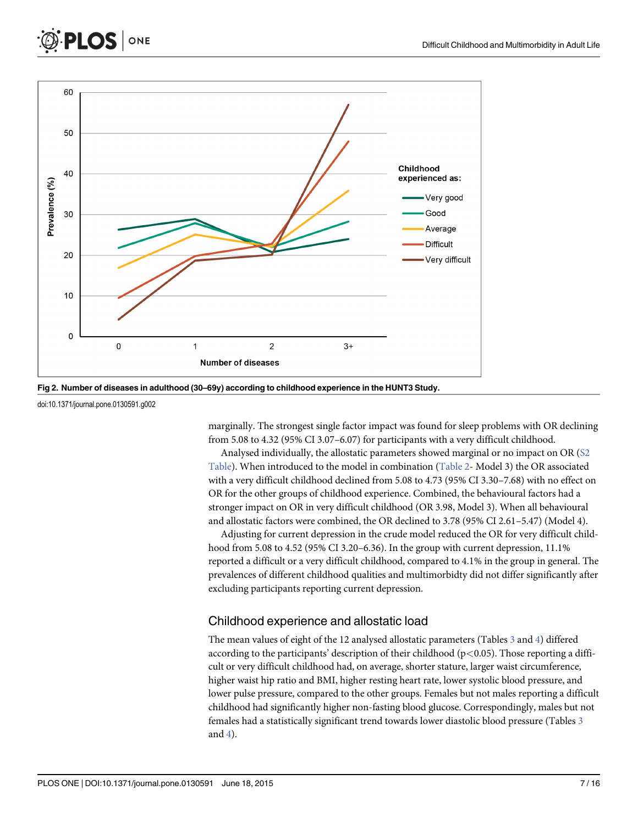

[Fig 2. N](#page-5-0)umber of diseases in adulthood (30–69y) according to childhood experience in the HUNT3 Study.

doi:10.1371/journal.pone.0130591.g002

<span id="page-6-0"></span>**PLOS** 

ONE

marginally. The strongest single factor impact was found for sleep problems with OR declining from 5.08 to 4.32 (95% CI 3.07–6.07) for participants with a very difficult childhood.

Analysed individually, the allostatic parameters showed marginal or no impact on OR ([S2](#page-10-0) [Table](#page-10-0)). When introduced to the model in combination ([Table 2-](#page-7-0) Model 3) the OR associated with a very difficult childhood declined from 5.08 to 4.73 (95% CI 3.30–7.68) with no effect on OR for the other groups of childhood experience. Combined, the behavioural factors had a stronger impact on OR in very difficult childhood (OR 3.98, Model 3). When all behavioural and allostatic factors were combined, the OR declined to 3.78 (95% CI 2.61–5.47) (Model 4).

Adjusting for current depression in the crude model reduced the OR for very difficult childhood from 5.08 to 4.52 (95% CI 3.20–6.36). In the group with current depression, 11.1% reported a difficult or a very difficult childhood, compared to 4.1% in the group in general. The prevalences of different childhood qualities and multimorbidty did not differ significantly after excluding participants reporting current depression.

#### Childhood experience and allostatic load

The mean values of eight of the 12 analysed allostatic parameters (Tables  $\frac{3}{2}$  $\frac{3}{2}$  $\frac{3}{2}$  and  $\frac{4}{2}$ ) differed according to the participants' description of their childhood ( $p<0.05$ ). Those reporting a difficult or very difficult childhood had, on average, shorter stature, larger waist circumference, higher waist hip ratio and BMI, higher resting heart rate, lower systolic blood pressure, and lower pulse pressure, compared to the other groups. Females but not males reporting a difficult childhood had significantly higher non-fasting blood glucose. Correspondingly, males but not females had a statistically significant trend towards lower diastolic blood pressure (Tables [3](#page-8-0) and [4](#page-8-0)).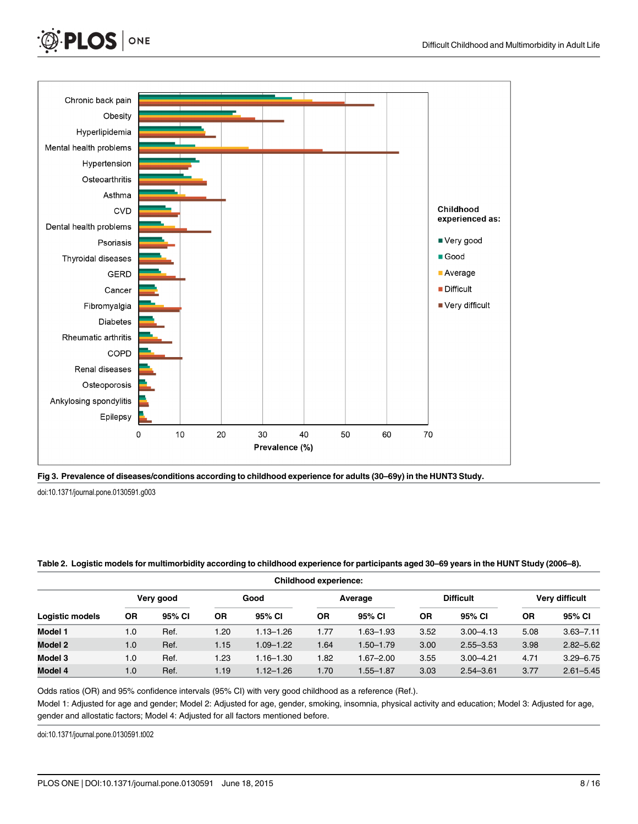<span id="page-7-0"></span>





doi:10.1371/journal.pone.0130591.g003

#### [Table 2.](#page-5-0) Logistic models for multimorbidity according to childhood experience for participants aged 30–69 years in the HUNT Study (2006–8).

| <b>Childhood experience:</b> |           |        |      |               |           |               |                  |               |                |               |
|------------------------------|-----------|--------|------|---------------|-----------|---------------|------------------|---------------|----------------|---------------|
| Very good                    |           |        | Good |               | Average   |               | <b>Difficult</b> |               | Very difficult |               |
| <b>Logistic models</b>       | <b>OR</b> | 95% CI | 0R   | 95% CI        | <b>OR</b> | 95% CI        | 0R               | 95% CI        | <b>OR</b>      | 95% CI        |
| Model 1                      | 1.0       | Ref.   | 1.20 | $1.13 - 1.26$ | 1.77      | 1.63–1.93     | 3.52             | $3.00 - 4.13$ | 5.08           | $3.63 - 7.11$ |
| Model 2                      | 1.0       | Ref.   | 1.15 | $1.09 - 1.22$ | 1.64      | $1.50 - 1.79$ | 3.00             | $2.55 - 3.53$ | 3.98           | $2.82 - 5.62$ |
| Model 3                      | 1.0       | Ref.   | 1.23 | $1.16 - 1.30$ | 1.82      | $1.67 - 2.00$ | 3.55             | $3.00 - 4.21$ | 4.71           | $3.29 - 6.75$ |
| Model 4                      | 1.0       | Ref.   | 1.19 | $1.12 - 1.26$ | 1.70      | $1.55 - 1.87$ | 3.03             | $2.54 - 3.61$ | 3.77           | $2.61 - 5.45$ |

Odds ratios (OR) and 95% confidence intervals (95% CI) with very good childhood as a reference (Ref.).

Model 1: Adjusted for age and gender; Model 2: Adjusted for age, gender, smoking, insomnia, physical activity and education; Model 3: Adjusted for age, gender and allostatic factors; Model 4: Adjusted for all factors mentioned before.

doi:10.1371/journal.pone.0130591.t002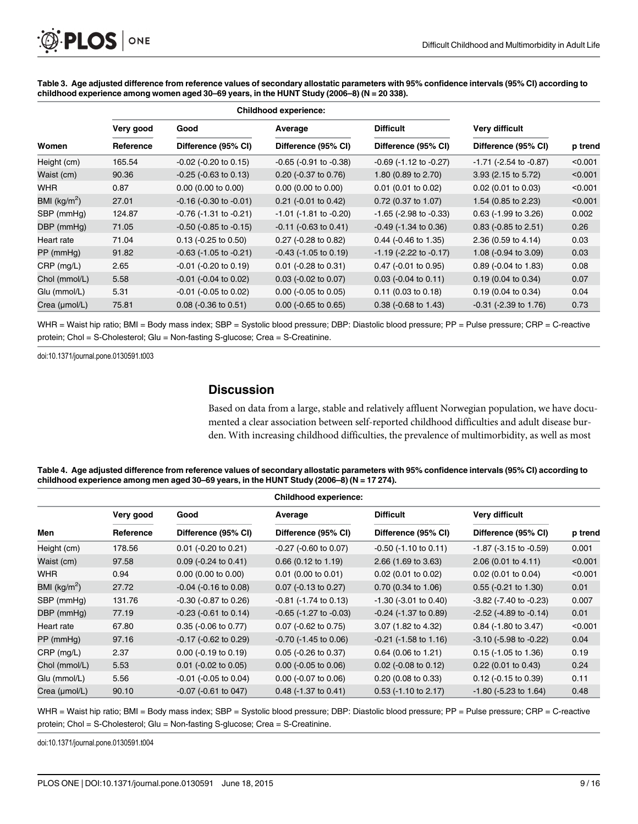<span id="page-8-0"></span>[Table 3.](#page-6-0) Age adjusted difference from reference values of secondary allostatic parameters with 95% confidence intervals (95% CI) according to childhood experience among women aged 30–69 years, in the HUNT Study (2006–8) (N = 20 338).

|                          |           | <b>Childhood experience:</b>   |                                |                                |                                |         |
|--------------------------|-----------|--------------------------------|--------------------------------|--------------------------------|--------------------------------|---------|
|                          | Very good | Good                           | Average                        | <b>Difficult</b>               | Very difficult                 |         |
| Women                    | Reference | Difference (95% CI)            | Difference (95% CI)            | Difference (95% CI)            | Difference (95% CI)            | p trend |
| Height (cm)              | 165.54    | $-0.02$ ( $-0.20$ to 0.15)     | $-0.65$ ( $-0.91$ to $-0.38$ ) | $-0.69$ ( $-1.12$ to $-0.27$ ) | $-1.71$ ( $-2.54$ to $-0.87$ ) | < 0.001 |
| Waist (cm)               | 90.36     | $-0.25$ ( $-0.63$ to 0.13)     | $0.20$ (-0.37 to 0.76)         | 1.80 (0.89 to 2.70)            | 3.93 (2.15 to 5.72)            | < 0.001 |
| <b>WHR</b>               | 0.87      | $0.00$ (0.00 to 0.00)          | $0.00$ (0.00 to 0.00)          | $0.01$ (0.01 to 0.02)          | $0.02$ (0.01 to 0.03)          | < 0.001 |
| BMI (kg/m <sup>2</sup> ) | 27.01     | $-0.16$ ( $-0.30$ to $-0.01$ ) | $0.21$ (-0.01 to 0.42)         | $0.72$ (0.37 to 1.07)          | 1.54 (0.85 to 2.23)            | < 0.001 |
| SBP (mmHg)               | 124.87    | $-0.76$ ( $-1.31$ to $-0.21$ ) | $-1.01$ ( $-1.81$ to $-0.20$ ) | $-1.65$ ( $-2.98$ to $-0.33$ ) | $0.63$ (-1.99 to 3.26)         | 0.002   |
| DBP (mmHg)               | 71.05     | $-0.50$ ( $-0.85$ to $-0.15$ ) | $-0.11$ ( $-0.63$ to 0.41)     | $-0.49$ ( $-1.34$ to 0.36)     | $0.83$ (-0.85 to 2.51)         | 0.26    |
| Heart rate               | 71.04     | $0.13$ (-0.25 to 0.50)         | $0.27$ (-0.28 to 0.82)         | $0.44$ (-0.46 to 1.35)         | 2.36 (0.59 to 4.14)            | 0.03    |
| $PP$ (mmHg)              | 91.82     | $-0.63$ ( $-1.05$ to $-0.21$ ) | $-0.43$ ( $-1.05$ to 0.19)     | $-1.19$ ( $-2.22$ to $-0.17$ ) | 1.08 ( $-0.94$ to 3.09)        | 0.03    |
| $CRP$ (mg/L)             | 2.65      | $-0.01$ ( $-0.20$ to $0.19$ )  | $0.01$ (-0.28 to 0.31)         | 0.47 (-0.01 to 0.95)           | $0.89$ (-0.04 to 1.83)         | 0.08    |
| Chol (mmol/L)            | 5.58      | $-0.01$ ( $-0.04$ to 0.02)     | $0.03$ (-0.02 to 0.07)         | $0.03$ (-0.04 to 0.11)         | $0.19(0.04 \text{ to } 0.34)$  | 0.07    |
| Glu (mmol/L)             | 5.31      | $-0.01$ ( $-0.05$ to 0.02)     | $0.00$ (-0.05 to 0.05)         | $0.11$ (0.03 to 0.18)          | $0.19(0.04 \text{ to } 0.34)$  | 0.04    |
| Crea (µmol/L)            | 75.81     | $0.08$ (-0.36 to 0.51)         | $0.00$ (-0.65 to 0.65)         | $0.38$ (-0.68 to 1.43)         | $-0.31$ ( $-2.39$ to 1.76)     | 0.73    |

WHR = Waist hip ratio; BMI = Body mass index; SBP = Systolic blood pressure; DBP: Diastolic blood pressure; PP = Pulse pressure; CRP = C-reactive protein; Chol = S-Cholesterol; Glu = Non-fasting S-glucose; Crea = S-Creatinine.

doi:10.1371/journal.pone.0130591.t003

# **Discussion**

Based on data from a large, stable and relatively affluent Norwegian population, we have documented a clear association between self-reported childhood difficulties and adult disease burden. With increasing childhood difficulties, the prevalence of multimorbidity, as well as most

| Table 4. Age adjusted difference from reference values of secondary allostatic parameters with 95% confidence intervals (95% CI) according to |  |
|-----------------------------------------------------------------------------------------------------------------------------------------------|--|
| childhood experience among men aged 30–69 years, in the HUNT Study (2006–8) (N = 17 274).                                                     |  |

|                 | <b>Childhood experience:</b> |                               |                                |                               |                                |         |  |  |  |
|-----------------|------------------------------|-------------------------------|--------------------------------|-------------------------------|--------------------------------|---------|--|--|--|
|                 | Very good                    | Good                          | Average                        | <b>Difficult</b>              | Very difficult                 |         |  |  |  |
| Men             | Reference                    | Difference (95% CI)           | Difference (95% CI)            | Difference (95% CI)           | Difference (95% CI)            | p trend |  |  |  |
| Height (cm)     | 178.56                       | $0.01$ (-0.20 to 0.21)        | $-0.27$ ( $-0.60$ to $0.07$ )  | $-0.50$ ( $-1.10$ to $0.11$ ) | $-1.87$ ( $-3.15$ to $-0.59$ ) | 0.001   |  |  |  |
| Waist (cm)      | 97.58                        | $0.09$ (-0.24 to 0.41)        | $0.66$ (0.12 to 1.19)          | 2.66 (1.69 to 3.63)           | 2.06 (0.01 to 4.11)            | < 0.001 |  |  |  |
| WHR             | 0.94                         | $0.00$ (0.00 to 0.00)         | $0.01$ (0.00 to 0.01)          | $0.02$ (0.01 to 0.02)         | $0.02$ (0.01 to 0.04)          | < 0.001 |  |  |  |
| BMI ( $kg/m2$ ) | 27.72                        | $-0.04$ ( $-0.16$ to $0.08$ ) | $0.07$ (-0.13 to 0.27)         | $0.70$ (0.34 to 1.06)         | $0.55$ (-0.21 to 1.30)         | 0.01    |  |  |  |
| SBP (mmHg)      | 131.76                       | $-0.30$ ( $-0.87$ to 0.26)    | $-0.81$ ( $-1.74$ to 0.13)     | $-1.30$ ( $-3.01$ to 0.40)    | $-3.82$ ( $-7.40$ to $-0.23$ ) | 0.007   |  |  |  |
| DBP (mmHg)      | 77.19                        | $-0.23$ ( $-0.61$ to $0.14$ ) | $-0.65$ ( $-1.27$ to $-0.03$ ) | $-0.24$ ( $-1.37$ to 0.89)    | $-2.52$ ( $-4.89$ to $-0.14$ ) | 0.01    |  |  |  |
| Heart rate      | 67.80                        | 0.35 (-0.06 to 0.77)          | $0.07$ (-0.62 to 0.75)         | 3.07 (1.82 to 4.32)           | $0.84$ (-1.80 to 3.47)         | < 0.001 |  |  |  |
| $PP$ (mmHg)     | 97.16                        | $-0.17$ ( $-0.62$ to 0.29)    | $-0.70$ ( $-1.45$ to 0.06)     | $-0.21$ ( $-1.58$ to $1.16$ ) | $-3.10$ ( $-5.98$ to $-0.22$ ) | 0.04    |  |  |  |
| CRP (mg/L)      | 2.37                         | $0.00$ (-0.19 to 0.19)        | $0.05$ (-0.26 to 0.37)         | $0.64$ (0.06 to 1.21)         | $0.15$ (-1.05 to 1.36)         | 0.19    |  |  |  |
| Chol (mmol/L)   | 5.53                         | $0.01$ (-0.02 to 0.05)        | $0.00$ (-0.05 to 0.06)         | $0.02$ (-0.08 to 0.12)        | $0.22$ (0.01 to 0.43)          | 0.24    |  |  |  |
| Glu (mmol/L)    | 5.56                         | $-0.01$ ( $-0.05$ to 0.04)    | $0.00$ (-0.07 to 0.06)         | $0.20$ (0.08 to 0.33)         | $0.12$ (-0.15 to 0.39)         | 0.11    |  |  |  |
| Crea (µmol/L)   | 90.10                        | $-0.07$ ( $-0.61$ to 047)     | $0.48$ (-1.37 to 0.41)         | $0.53$ (-1.10 to 2.17)        | $-1.80$ ( $-5.23$ to $1.64$ )  | 0.48    |  |  |  |

WHR = Waist hip ratio; BMI = Body mass index; SBP = Systolic blood pressure; DBP: Diastolic blood pressure; PP = Pulse pressure; CRP = C-reactive protein; Chol = S-Cholesterol; Glu = Non-fasting S-glucose; Crea = S-Creatinine.

doi:10.1371/journal.pone.0130591.t004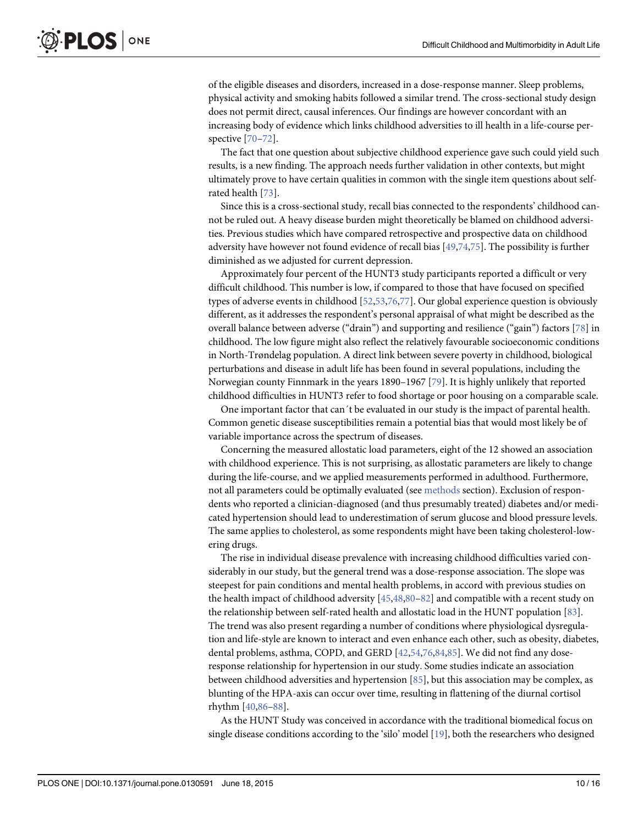<span id="page-9-0"></span>of the eligible diseases and disorders, increased in a dose-response manner. Sleep problems, physical activity and smoking habits followed a similar trend. The cross-sectional study design does not permit direct, causal inferences. Our findings are however concordant with an increasing body of evidence which links childhood adversities to ill health in a life-course perspective [\[70](#page-14-0)–[72\]](#page-14-0).

The fact that one question about subjective childhood experience gave such could yield such results, is a new finding. The approach needs further validation in other contexts, but might ultimately prove to have certain qualities in common with the single item questions about selfrated health [[73\]](#page-14-0).

Since this is a cross-sectional study, recall bias connected to the respondents' childhood cannot be ruled out. A heavy disease burden might theoretically be blamed on childhood adversities. Previous studies which have compared retrospective and prospective data on childhood adversity have however not found evidence of recall bias [[49](#page-13-0),[74](#page-14-0),[75](#page-14-0)]. The possibility is further diminished as we adjusted for current depression.

Approximately four percent of the HUNT3 study participants reported a difficult or very difficult childhood. This number is low, if compared to those that have focused on specified types of adverse events in childhood [\[52,53,](#page-13-0)[76,77](#page-14-0)]. Our global experience question is obviously different, as it addresses the respondent's personal appraisal of what might be described as the overall balance between adverse ("drain") and supporting and resilience ("gain") factors [\[78\]](#page-14-0) in childhood. The low figure might also reflect the relatively favourable socioeconomic conditions in North-Trøndelag population. A direct link between severe poverty in childhood, biological perturbations and disease in adult life has been found in several populations, including the Norwegian county Finnmark in the years 1890–1967 [\[79](#page-14-0)]. It is highly unlikely that reported childhood difficulties in HUNT3 refer to food shortage or poor housing on a comparable scale.

One important factor that can´t be evaluated in our study is the impact of parental health. Common genetic disease susceptibilities remain a potential bias that would most likely be of variable importance across the spectrum of diseases.

Concerning the measured allostatic load parameters, eight of the 12 showed an association with childhood experience. This is not surprising, as allostatic parameters are likely to change during the life-course, and we applied measurements performed in adulthood. Furthermore, not all parameters could be optimally evaluated (see [methods](#page-2-0) section). Exclusion of respondents who reported a clinician-diagnosed (and thus presumably treated) diabetes and/or medicated hypertension should lead to underestimation of serum glucose and blood pressure levels. The same applies to cholesterol, as some respondents might have been taking cholesterol-lowering drugs.

The rise in individual disease prevalence with increasing childhood difficulties varied considerably in our study, but the general trend was a dose-response association. The slope was steepest for pain conditions and mental health problems, in accord with previous studies on the health impact of childhood adversity  $[45,48,80-82]$  $[45,48,80-82]$  $[45,48,80-82]$  $[45,48,80-82]$  $[45,48,80-82]$  $[45,48,80-82]$  and compatible with a recent study on the relationship between self-rated health and allostatic load in the HUNT population [[83](#page-14-0)]. The trend was also present regarding a number of conditions where physiological dysregulation and life-style are known to interact and even enhance each other, such as obesity, diabetes, dental problems, asthma, COPD, and GERD [\[42,54,](#page-13-0)[76](#page-14-0),[84,85\]](#page-15-0). We did not find any doseresponse relationship for hypertension in our study. Some studies indicate an association between childhood adversities and hypertension [[85](#page-15-0)], but this association may be complex, as blunting of the HPA-axis can occur over time, resulting in flattening of the diurnal cortisol rhythm [[40](#page-13-0)[,86](#page-15-0)–[88\]](#page-15-0).

As the HUNT Study was conceived in accordance with the traditional biomedical focus on single disease conditions according to the 'silo' model [[19](#page-12-0)], both the researchers who designed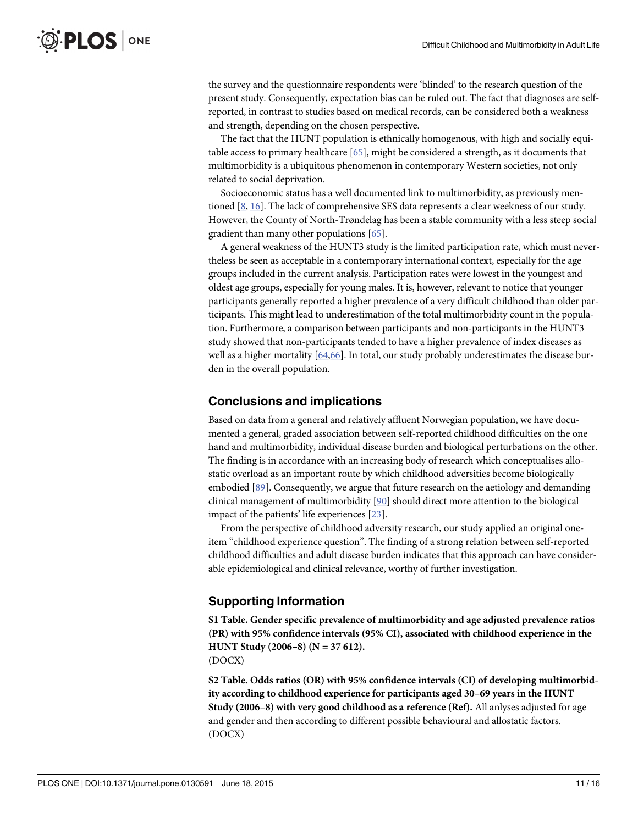<span id="page-10-0"></span>the survey and the questionnaire respondents were 'blinded' to the research question of the present study. Consequently, expectation bias can be ruled out. The fact that diagnoses are selfreported, in contrast to studies based on medical records, can be considered both a weakness and strength, depending on the chosen perspective.

The fact that the HUNT population is ethnically homogenous, with high and socially equitable access to primary healthcare  $[65]$ , might be considered a strength, as it documents that multimorbidity is a ubiquitous phenomenon in contemporary Western societies, not only related to social deprivation.

Socioeconomic status has a well documented link to multimorbidity, as previously mentioned  $[8, 16]$  $[8, 16]$  $[8, 16]$ . The lack of comprehensive SES data represents a clear weekness of our study. However, the County of North-Trøndelag has been a stable community with a less steep social gradient than many other populations [[65](#page-14-0)].

A general weakness of the HUNT3 study is the limited participation rate, which must nevertheless be seen as acceptable in a contemporary international context, especially for the age groups included in the current analysis. Participation rates were lowest in the youngest and oldest age groups, especially for young males. It is, however, relevant to notice that younger participants generally reported a higher prevalence of a very difficult childhood than older participants. This might lead to underestimation of the total multimorbidity count in the population. Furthermore, a comparison between participants and non-participants in the HUNT3 study showed that non-participants tended to have a higher prevalence of index diseases as well as a higher mortality [\[64,66\]](#page-14-0). In total, our study probably underestimates the disease burden in the overall population.

#### Conclusions and implications

Based on data from a general and relatively affluent Norwegian population, we have documented a general, graded association between self-reported childhood difficulties on the one hand and multimorbidity, individual disease burden and biological perturbations on the other. The finding is in accordance with an increasing body of research which conceptualises allostatic overload as an important route by which childhood adversities become biologically embodied [\[89\]](#page-15-0). Consequently, we argue that future research on the aetiology and demanding clinical management of multimorbidity [[90](#page-15-0)] should direct more attention to the biological impact of the patients' life experiences [[23](#page-12-0)].

From the perspective of childhood adversity research, our study applied an original oneitem "childhood experience question". The finding of a strong relation between self-reported childhood difficulties and adult disease burden indicates that this approach can have considerable epidemiological and clinical relevance, worthy of further investigation.

#### Supporting Information

[S1 Table](http://www.plosone.org/article/fetchSingleRepresentation.action?uri=info:doi/10.1371/journal.pone.0130591.s001). Gender specific prevalence of multimorbidity and age adjusted prevalence ratios (PR) with 95% confidence intervals (95% CI), associated with childhood experience in the HUNT Study (2006–8) (N = 37 612). (DOCX)

[S2 Table](http://www.plosone.org/article/fetchSingleRepresentation.action?uri=info:doi/10.1371/journal.pone.0130591.s002). Odds ratios (OR) with 95% confidence intervals (CI) of developing multimorbidity according to childhood experience for participants aged 30–69 years in the HUNT Study (2006–8) with very good childhood as a reference (Ref). All anlyses adjusted for age and gender and then according to different possible behavioural and allostatic factors. (DOCX)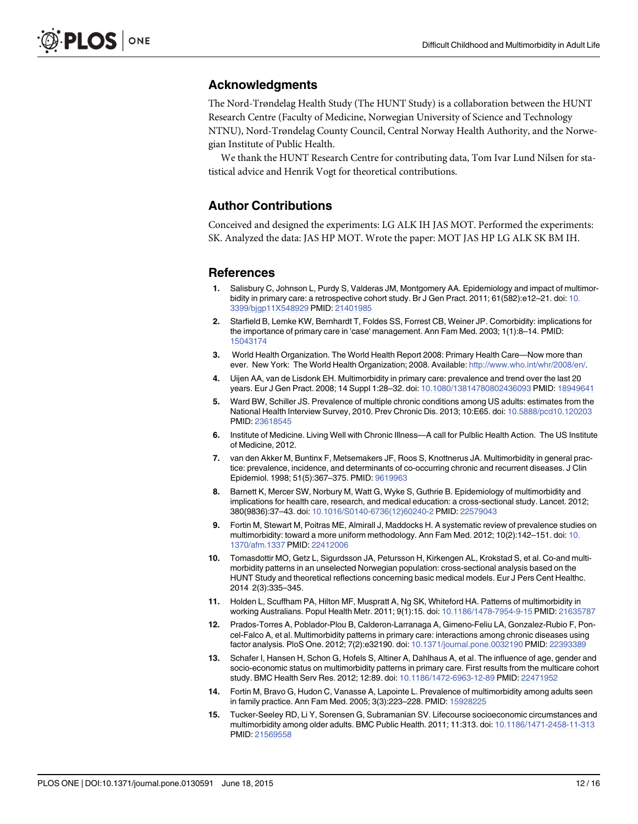#### <span id="page-11-0"></span>Acknowledgments

The Nord-Trøndelag Health Study (The HUNT Study) is a collaboration between the HUNT Research Centre (Faculty of Medicine, Norwegian University of Science and Technology NTNU), Nord-Trøndelag County Council, Central Norway Health Authority, and the Norwegian Institute of Public Health.

We thank the HUNT Research Centre for contributing data, Tom Ivar Lund Nilsen for statistical advice and Henrik Vogt for theoretical contributions.

### Author Contributions

Conceived and designed the experiments: LG ALK IH JAS MOT. Performed the experiments: SK. Analyzed the data: JAS HP MOT. Wrote the paper: MOT JAS HP LG ALK SK BM IH.

#### References

- [1.](#page-1-0) Salisbury C, Johnson L, Purdy S, Valderas JM, Montgomery AA. Epidemiology and impact of multimor-bidity in primary care: a retrospective cohort study. Br J Gen Pract. 2011; 61(582):e12-21. doi: [10.](http://dx.doi.org/10.3399/bjgp11X548929) [3399/bjgp11X548929](http://dx.doi.org/10.3399/bjgp11X548929) PMID: [21401985](http://www.ncbi.nlm.nih.gov/pubmed/21401985)
- [2.](#page-1-0) Starfield B, Lemke KW, Bernhardt T, Foldes SS, Forrest CB, Weiner JP. Comorbidity: implications for the importance of primary care in 'case' management. Ann Fam Med. 2003; 1(1):8–14. PMID: [15043174](http://www.ncbi.nlm.nih.gov/pubmed/15043174)
- [3.](#page-1-0) World Health Organization. The World Health Report 2008: Primary Health Care—Now more than ever. New York: The World Health Organization; 2008. Available: [http://www.who.int/whr/2008/en/.](http://www.who.int/whr/2008/en/)
- [4.](#page-1-0) Uijen AA, van de Lisdonk EH. Multimorbidity in primary care: prevalence and trend over the last 20 years. Eur J Gen Pract. 2008; 14 Suppl 1:28–32. doi: [10.1080/13814780802436093](http://dx.doi.org/10.1080/13814780802436093) PMID: [18949641](http://www.ncbi.nlm.nih.gov/pubmed/18949641)
- [5.](#page-1-0) Ward BW, Schiller JS. Prevalence of multiple chronic conditions among US adults: estimates from the National Health Interview Survey, 2010. Prev Chronic Dis. 2013; 10:E65. doi: [10.5888/pcd10.120203](http://dx.doi.org/10.5888/pcd10.120203) PMID: [23618545](http://www.ncbi.nlm.nih.gov/pubmed/23618545)
- [6.](#page-1-0) Institute of Medicine. Living Well with Chronic Illness—A call for Pulblic Health Action. The US Institute of Medicine, 2012.
- [7.](#page-1-0) van den Akker M, Buntinx F, Metsemakers JF, Roos S, Knottnerus JA. Multimorbidity in general practice: prevalence, incidence, and determinants of co-occurring chronic and recurrent diseases. J Clin Epidemiol. 1998; 51(5):367–375. PMID: [9619963](http://www.ncbi.nlm.nih.gov/pubmed/9619963)
- [8.](#page-1-0) Barnett K, Mercer SW, Norbury M, Watt G, Wyke S, Guthrie B. Epidemiology of multimorbidity and implications for health care, research, and medical education: a cross-sectional study. Lancet. 2012; 380(9836):37–43. doi: [10.1016/S0140-6736\(12\)60240-2](http://dx.doi.org/10.1016/S0140-6736(12)60240-2) PMID: [22579043](http://www.ncbi.nlm.nih.gov/pubmed/22579043)
- [9.](#page-3-0) Fortin M, Stewart M, Poitras ME, Almirall J, Maddocks H. A systematic review of prevalence studies on multimorbidity: toward a more uniform methodology. Ann Fam Med. 2012; 10(2):142–151. doi: [10.](http://dx.doi.org/10.1370/afm.1337) [1370/afm.1337](http://dx.doi.org/10.1370/afm.1337) PMID: [22412006](http://www.ncbi.nlm.nih.gov/pubmed/22412006)
- [10.](#page-1-0) Tomasdottir MO, Getz L, Sigurdsson JA, Petursson H, Kirkengen AL, Krokstad S, et al. Co-and multimorbidity patterns in an unselected Norwegian population: cross-sectional analysis based on the HUNT Study and theoretical reflections concerning basic medical models. Eur J Pers Cent Healthc. 2014 2(3):335–345.
- [11.](#page-1-0) Holden L, Scuffham PA, Hilton MF, Muspratt A, Ng SK, Whiteford HA. Patterns of multimorbidity in working Australians. Popul Health Metr. 2011; 9(1):15. doi: [10.1186/1478-7954-9-15](http://dx.doi.org/10.1186/1478-7954-9-15) PMID: [21635787](http://www.ncbi.nlm.nih.gov/pubmed/21635787)
- 12. Prados-Torres A, Poblador-Plou B, Calderon-Larranaga A, Gimeno-Feliu LA, Gonzalez-Rubio F, Poncel-Falco A, et al. Multimorbidity patterns in primary care: interactions among chronic diseases using factor analysis. PloS One. 2012; 7(2):e32190. doi: [10.1371/journal.pone.0032190](http://dx.doi.org/10.1371/journal.pone.0032190) PMID: [22393389](http://www.ncbi.nlm.nih.gov/pubmed/22393389)
- [13.](#page-1-0) Schafer I, Hansen H, Schon G, Hofels S, Altiner A, Dahlhaus A, et al. The influence of age, gender and socio-economic status on multimorbidity patterns in primary care. First results from the multicare cohort study. BMC Health Serv Res. 2012; 12:89. doi: [10.1186/1472-6963-12-89](http://dx.doi.org/10.1186/1472-6963-12-89) PMID: [22471952](http://www.ncbi.nlm.nih.gov/pubmed/22471952)
- [14.](#page-1-0) Fortin M, Bravo G, Hudon C, Vanasse A, Lapointe L. Prevalence of multimorbidity among adults seen in family practice. Ann Fam Med. 2005; 3(3):223–228. PMID: [15928225](http://www.ncbi.nlm.nih.gov/pubmed/15928225)
- [15.](#page-1-0) Tucker-Seeley RD, Li Y, Sorensen G, Subramanian SV. Lifecourse socioeconomic circumstances and multimorbidity among older adults. BMC Public Health. 2011; 11:313. doi: [10.1186/1471-2458-11-313](http://dx.doi.org/10.1186/1471-2458-11-313) PMID: [21569558](http://www.ncbi.nlm.nih.gov/pubmed/21569558)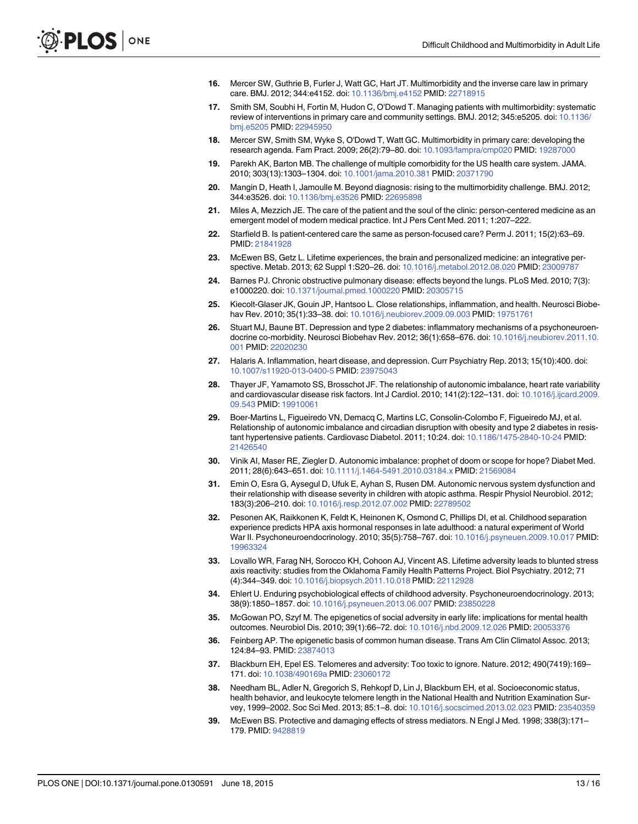- <span id="page-12-0"></span>[16.](#page-1-0) Mercer SW, Guthrie B, Furler J, Watt GC, Hart JT. Multimorbidity and the inverse care law in primary care. BMJ. 2012; 344:e4152. doi: [10.1136/bmj.e4152](http://dx.doi.org/10.1136/bmj.e4152) PMID: [22718915](http://www.ncbi.nlm.nih.gov/pubmed/22718915)
- [17.](#page-1-0) Smith SM, Soubhi H, Fortin M, Hudon C, O'Dowd T. Managing patients with multimorbidity: systematic review of interventions in primary care and community settings. BMJ. 2012; 345:e5205. doi: [10.1136/](http://dx.doi.org/10.1136/bmj.e5205) [bmj.e5205](http://dx.doi.org/10.1136/bmj.e5205) PMID: [22945950](http://www.ncbi.nlm.nih.gov/pubmed/22945950)
- [18.](#page-1-0) Mercer SW, Smith SM, Wyke S, O'Dowd T, Watt GC. Multimorbidity in primary care: developing the research agenda. Fam Pract. 2009; 26(2):79–80. doi: [10.1093/fampra/cmp020](http://dx.doi.org/10.1093/fampra/cmp020) PMID: [19287000](http://www.ncbi.nlm.nih.gov/pubmed/19287000)
- [19.](#page-9-0) Parekh AK, Barton MB. The challenge of multiple comorbidity for the US health care system. JAMA. 2010; 303(13):1303–1304. doi: [10.1001/jama.2010.381](http://dx.doi.org/10.1001/jama.2010.381) PMID: [20371790](http://www.ncbi.nlm.nih.gov/pubmed/20371790)
- [20.](#page-1-0) Mangin D, Heath I, Jamoulle M. Beyond diagnosis: rising to the multimorbidity challenge. BMJ. 2012; 344:e3526. doi: [10.1136/bmj.e3526](http://dx.doi.org/10.1136/bmj.e3526) PMID: [22695898](http://www.ncbi.nlm.nih.gov/pubmed/22695898)
- [21.](#page-1-0) Miles A, Mezzich JE. The care of the patient and the soul of the clinic: person-centered medicine as an emergent model of modern medical practice. Int J Pers Cent Med. 2011; 1:207–222.
- [22.](#page-1-0) Starfield B. Is patient-centered care the same as person-focused care? Perm J. 2011; 15(2):63–69. PMID: [21841928](http://www.ncbi.nlm.nih.gov/pubmed/21841928)
- [23.](#page-1-0) McEwen BS, Getz L. Lifetime experiences, the brain and personalized medicine: an integrative perspective. Metab. 2013; 62 Suppl 1:S20–26. doi: [10.1016/j.metabol.2012.08.020](http://dx.doi.org/10.1016/j.metabol.2012.08.020) PMID: [23009787](http://www.ncbi.nlm.nih.gov/pubmed/23009787)
- [24.](#page-1-0) Barnes PJ. Chronic obstructive pulmonary disease: effects beyond the lungs. PLoS Med. 2010; 7(3): e1000220. doi: [10.1371/journal.pmed.1000220](http://dx.doi.org/10.1371/journal.pmed.1000220) PMID: [20305715](http://www.ncbi.nlm.nih.gov/pubmed/20305715)
- 25. Kiecolt-Glaser JK, Gouin JP, Hantsoo L. Close relationships, inflammation, and health. Neurosci Biobehav Rev. 2010; 35(1):33–38. doi: [10.1016/j.neubiorev.2009.09.003](http://dx.doi.org/10.1016/j.neubiorev.2009.09.003) PMID: [19751761](http://www.ncbi.nlm.nih.gov/pubmed/19751761)
- 26. Stuart MJ, Baune BT. Depression and type 2 diabetes: inflammatory mechanisms of a psychoneuroen-docrine co-morbidity. Neurosci Biobehav Rev. 2012; 36(1):658-676. doi: [10.1016/j.neubiorev.2011.10.](http://dx.doi.org/10.1016/j.neubiorev.2011.10.001) [001](http://dx.doi.org/10.1016/j.neubiorev.2011.10.001) PMID: [22020230](http://www.ncbi.nlm.nih.gov/pubmed/22020230)
- [27.](#page-1-0) Halaris A. Inflammation, heart disease, and depression. Curr Psychiatry Rep. 2013; 15(10):400. doi: [10.1007/s11920-013-0400-5](http://dx.doi.org/10.1007/s11920-013-0400-5) PMID: [23975043](http://www.ncbi.nlm.nih.gov/pubmed/23975043)
- 28. Thayer JF, Yamamoto SS, Brosschot JF. The relationship of autonomic imbalance, heart rate variability and cardiovascular disease risk factors. Int J Cardiol. 2010; 141(2):122-131. doi: [10.1016/j.ijcard.2009.](http://dx.doi.org/10.1016/j.ijcard.2009.09.543) [09.543](http://dx.doi.org/10.1016/j.ijcard.2009.09.543) PMID: [19910061](http://www.ncbi.nlm.nih.gov/pubmed/19910061)
- 29. Boer-Martins L, Figueiredo VN, Demacq C, Martins LC, Consolin-Colombo F, Figueiredo MJ, et al. Relationship of autonomic imbalance and circadian disruption with obesity and type 2 diabetes in resistant hypertensive patients. Cardiovasc Diabetol. 2011; 10:24. doi: [10.1186/1475-2840-10-24](http://dx.doi.org/10.1186/1475-2840-10-24) PMID: [21426540](http://www.ncbi.nlm.nih.gov/pubmed/21426540)
- 30. Vinik AI, Maser RE, Ziegler D. Autonomic imbalance: prophet of doom or scope for hope? Diabet Med. 2011; 28(6):643–651. doi: [10.1111/j.1464-5491.2010.03184.x](http://dx.doi.org/10.1111/j.1464-5491.2010.03184.x) PMID: [21569084](http://www.ncbi.nlm.nih.gov/pubmed/21569084)
- [31.](#page-1-0) Emin O, Esra G, Aysegul D, Ufuk E, Ayhan S, Rusen DM. Autonomic nervous system dysfunction and their relationship with disease severity in children with atopic asthma. Respir Physiol Neurobiol. 2012; 183(3):206–210. doi: [10.1016/j.resp.2012.07.002](http://dx.doi.org/10.1016/j.resp.2012.07.002) PMID: [22789502](http://www.ncbi.nlm.nih.gov/pubmed/22789502)
- [32.](#page-1-0) Pesonen AK, Raikkonen K, Feldt K, Heinonen K, Osmond C, Phillips DI, et al. Childhood separation experience predicts HPA axis hormonal responses in late adulthood: a natural experiment of World War II. Psychoneuroendocrinology. 2010; 35(5):758–767. doi: [10.1016/j.psyneuen.2009.10.017](http://dx.doi.org/10.1016/j.psyneuen.2009.10.017) PMID: [19963324](http://www.ncbi.nlm.nih.gov/pubmed/19963324)
- 33. Lovallo WR, Farag NH, Sorocco KH, Cohoon AJ, Vincent AS. Lifetime adversity leads to blunted stress axis reactivity: studies from the Oklahoma Family Health Patterns Project. Biol Psychiatry. 2012; 71 (4):344–349. doi: [10.1016/j.biopsych.2011.10.018](http://dx.doi.org/10.1016/j.biopsych.2011.10.018) PMID: [22112928](http://www.ncbi.nlm.nih.gov/pubmed/22112928)
- [34.](#page-1-0) Ehlert U. Enduring psychobiological effects of childhood adversity. Psychoneuroendocrinology. 2013; 38(9):1850–1857. doi: [10.1016/j.psyneuen.2013.06.007](http://dx.doi.org/10.1016/j.psyneuen.2013.06.007) PMID: [23850228](http://www.ncbi.nlm.nih.gov/pubmed/23850228)
- [35.](#page-1-0) McGowan PO, Szyf M. The epigenetics of social adversity in early life: implications for mental health outcomes. Neurobiol Dis. 2010; 39(1):66–72. doi: [10.1016/j.nbd.2009.12.026](http://dx.doi.org/10.1016/j.nbd.2009.12.026) PMID: [20053376](http://www.ncbi.nlm.nih.gov/pubmed/20053376)
- [36.](#page-1-0) Feinberg AP. The epigenetic basis of common human disease. Trans Am Clin Climatol Assoc. 2013; 124:84–93. PMID: [23874013](http://www.ncbi.nlm.nih.gov/pubmed/23874013)
- [37.](#page-1-0) Blackburn EH, Epel ES. Telomeres and adversity: Too toxic to ignore. Nature. 2012; 490(7419):169– 171. doi: [10.1038/490169a](http://dx.doi.org/10.1038/490169a) PMID: [23060172](http://www.ncbi.nlm.nih.gov/pubmed/23060172)
- [38.](#page-1-0) Needham BL, Adler N, Gregorich S, Rehkopf D, Lin J, Blackburn EH, et al. Socioeconomic status, health behavior, and leukocyte telomere length in the National Health and Nutrition Examination Survey, 1999–2002. Soc Sci Med. 2013; 85:1–8. doi: [10.1016/j.socscimed.2013.02.023](http://dx.doi.org/10.1016/j.socscimed.2013.02.023) PMID: [23540359](http://www.ncbi.nlm.nih.gov/pubmed/23540359)
- [39.](#page-1-0) McEwen BS. Protective and damaging effects of stress mediators. N Engl J Med. 1998; 338(3):171– 179. PMID: [9428819](http://www.ncbi.nlm.nih.gov/pubmed/9428819)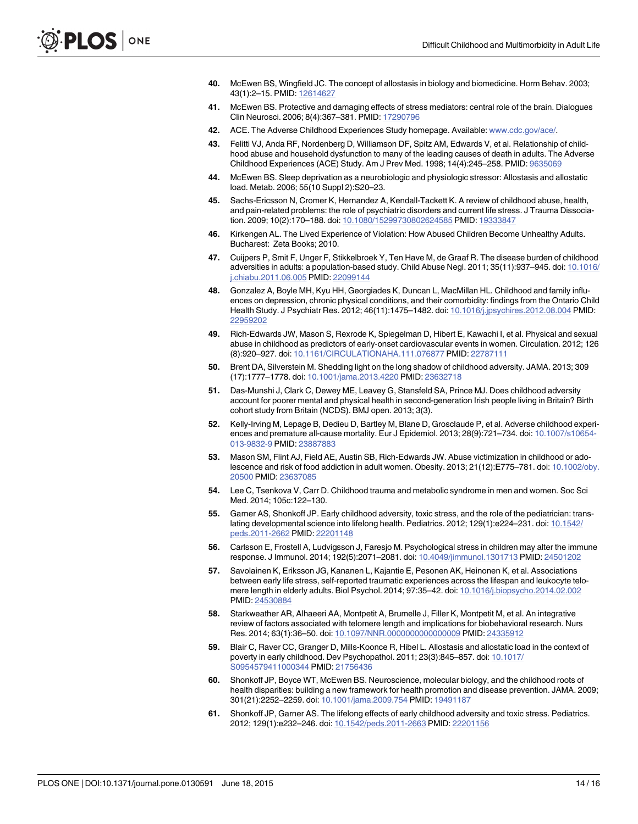- <span id="page-13-0"></span>[40.](#page-9-0) McEwen BS, Wingfield JC. The concept of allostasis in biology and biomedicine. Horm Behav. 2003; 43(1):2–15. PMID: [12614627](http://www.ncbi.nlm.nih.gov/pubmed/12614627)
- [41.](#page-2-0) McEwen BS. Protective and damaging effects of stress mediators: central role of the brain. Dialogues Clin Neurosci. 2006; 8(4):367–381. PMID: [17290796](http://www.ncbi.nlm.nih.gov/pubmed/17290796)
- [42.](#page-2-0) ACE. The Adverse Childhood Experiences Study homepage. Available: [www.cdc.gov/ace/](http://www.cdc.gov/ace/).
- [43.](#page-2-0) Felitti VJ, Anda RF, Nordenberg D, Williamson DF, Spitz AM, Edwards V, et al. Relationship of childhood abuse and household dysfunction to many of the leading causes of death in adults. The Adverse Childhood Experiences (ACE) Study. Am J Prev Med. 1998; 14(4):245–258. PMID: [9635069](http://www.ncbi.nlm.nih.gov/pubmed/9635069)
- [44.](#page-2-0) McEwen BS. Sleep deprivation as a neurobiologic and physiologic stressor: Allostasis and allostatic load. Metab. 2006; 55(10 Suppl 2):S20–23.
- [45.](#page-9-0) Sachs-Ericsson N, Cromer K, Hernandez A, Kendall-Tackett K. A review of childhood abuse, health, and pain-related problems: the role of psychiatric disorders and current life stress. J Trauma Dissociation. 2009; 10(2):170–188. doi: [10.1080/15299730802624585](http://dx.doi.org/10.1080/15299730802624585) PMID: [19333847](http://www.ncbi.nlm.nih.gov/pubmed/19333847)
- 46. Kirkengen AL. The Lived Experience of Violation: How Abused Children Become Unhealthy Adults. Bucharest: Zeta Books; 2010.
- 47. Cuijpers P, Smit F, Unger F, Stikkelbroek Y, Ten Have M, de Graaf R. The disease burden of childhood adversities in adults: a population-based study. Child Abuse Negl. 2011; 35(11):937–945. doi: [10.1016/](http://dx.doi.org/10.1016/j.chiabu.2011.06.005) [j.chiabu.2011.06.005](http://dx.doi.org/10.1016/j.chiabu.2011.06.005) PMID: [22099144](http://www.ncbi.nlm.nih.gov/pubmed/22099144)
- [48.](#page-9-0) Gonzalez A, Boyle MH, Kyu HH, Georgiades K, Duncan L, MacMillan HL. Childhood and family influences on depression, chronic physical conditions, and their comorbidity: findings from the Ontario Child Health Study. J Psychiatr Res. 2012; 46(11):1475–1482. doi: [10.1016/j.jpsychires.2012.08.004](http://dx.doi.org/10.1016/j.jpsychires.2012.08.004) PMID: [22959202](http://www.ncbi.nlm.nih.gov/pubmed/22959202)
- [49.](#page-9-0) Rich-Edwards JW, Mason S, Rexrode K, Spiegelman D, Hibert E, Kawachi I, et al. Physical and sexual abuse in childhood as predictors of early-onset cardiovascular events in women. Circulation. 2012; 126 (8):920–927. doi: [10.1161/CIRCULATIONAHA.111.076877](http://dx.doi.org/10.1161/CIRCULATIONAHA.111.076877) PMID: [22787111](http://www.ncbi.nlm.nih.gov/pubmed/22787111)
- [50.](#page-2-0) Brent DA, Silverstein M. Shedding light on the long shadow of childhood adversity. JAMA. 2013; 309 (17):1777–1778. doi: [10.1001/jama.2013.4220](http://dx.doi.org/10.1001/jama.2013.4220) PMID: [23632718](http://www.ncbi.nlm.nih.gov/pubmed/23632718)
- 51. Das-Munshi J, Clark C, Dewey ME, Leavey G, Stansfeld SA, Prince MJ. Does childhood adversity account for poorer mental and physical health in second-generation Irish people living in Britain? Birth cohort study from Britain (NCDS). BMJ open. 2013; 3(3).
- [52.](#page-9-0) Kelly-Irving M, Lepage B, Dedieu D, Bartley M, Blane D, Grosclaude P, et al. Adverse childhood experiences and premature all-cause mortality. Eur J Epidemiol. 2013; 28(9):721–734. doi: [10.1007/s10654-](http://dx.doi.org/10.1007/s10654-013-9832-9) [013-9832-9](http://dx.doi.org/10.1007/s10654-013-9832-9) PMID: [23887883](http://www.ncbi.nlm.nih.gov/pubmed/23887883)
- [53.](#page-9-0) Mason SM, Flint AJ, Field AE, Austin SB, Rich-Edwards JW. Abuse victimization in childhood or adolescence and risk of food addiction in adult women. Obesity. 2013; 21(12):E775–781. doi: [10.1002/oby.](http://dx.doi.org/10.1002/oby.20500) [20500](http://dx.doi.org/10.1002/oby.20500) PMID: [23637085](http://www.ncbi.nlm.nih.gov/pubmed/23637085)
- [54.](#page-2-0) Lee C, Tsenkova V, Carr D. Childhood trauma and metabolic syndrome in men and women. Soc Sci Med. 2014; 105c:122–130.
- 55. Garner AS, Shonkoff JP. Early childhood adversity, toxic stress, and the role of the pediatrician: translating developmental science into lifelong health. Pediatrics. 2012; 129(1):e224–231. doi: [10.1542/](http://dx.doi.org/10.1542/peds.2011-2662) [peds.2011-2662](http://dx.doi.org/10.1542/peds.2011-2662) PMID: [22201148](http://www.ncbi.nlm.nih.gov/pubmed/22201148)
- 56. Carlsson E, Frostell A, Ludvigsson J, Faresjo M. Psychological stress in children may alter the immune response. J Immunol. 2014; 192(5):2071–2081. doi: [10.4049/jimmunol.1301713](http://dx.doi.org/10.4049/jimmunol.1301713) PMID: [24501202](http://www.ncbi.nlm.nih.gov/pubmed/24501202)
- 57. Savolainen K, Eriksson JG, Kananen L, Kajantie E, Pesonen AK, Heinonen K, et al. Associations between early life stress, self-reported traumatic experiences across the lifespan and leukocyte telomere length in elderly adults. Biol Psychol. 2014; 97:35–42. doi: [10.1016/j.biopsycho.2014.02.002](http://dx.doi.org/10.1016/j.biopsycho.2014.02.002) PMID: [24530884](http://www.ncbi.nlm.nih.gov/pubmed/24530884)
- 58. Starkweather AR, Alhaeeri AA, Montpetit A, Brumelle J, Filler K, Montpetit M, et al. An integrative review of factors associated with telomere length and implications for biobehavioral research. Nurs Res. 2014; 63(1):36–50. doi: [10.1097/NNR.0000000000000009](http://dx.doi.org/10.1097/NNR.0000000000000009) PMID: [24335912](http://www.ncbi.nlm.nih.gov/pubmed/24335912)
- [59.](#page-2-0) Blair C, Raver CC, Granger D, Mills-Koonce R, Hibel L. Allostasis and allostatic load in the context of poverty in early childhood. Dev Psychopathol. 2011; 23(3):845-857. doi: [10.1017/](http://dx.doi.org/10.1017/S0954579411000344) [S0954579411000344](http://dx.doi.org/10.1017/S0954579411000344) PMID: [21756436](http://www.ncbi.nlm.nih.gov/pubmed/21756436)
- [60.](#page-2-0) Shonkoff JP, Boyce WT, McEwen BS. Neuroscience, molecular biology, and the childhood roots of health disparities: building a new framework for health promotion and disease prevention. JAMA. 2009; 301(21):2252–2259. doi: [10.1001/jama.2009.754](http://dx.doi.org/10.1001/jama.2009.754) PMID: [19491187](http://www.ncbi.nlm.nih.gov/pubmed/19491187)
- 61. Shonkoff JP, Garner AS. The lifelong effects of early childhood adversity and toxic stress. Pediatrics. 2012; 129(1):e232–246. doi: [10.1542/peds.2011-2663](http://dx.doi.org/10.1542/peds.2011-2663) PMID: [22201156](http://www.ncbi.nlm.nih.gov/pubmed/22201156)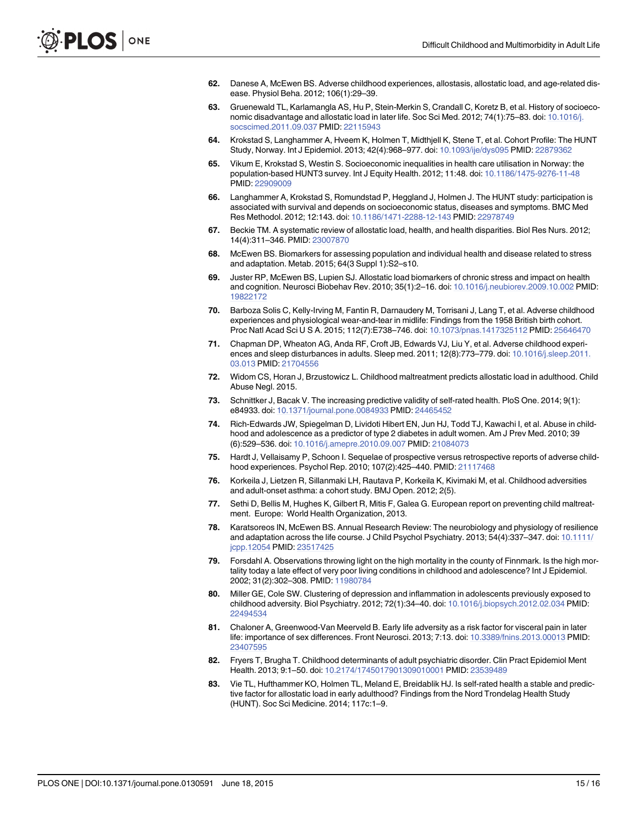- <span id="page-14-0"></span>62. Danese A, McEwen BS. Adverse childhood experiences, allostasis, allostatic load, and age-related disease. Physiol Beha. 2012; 106(1):29–39.
- [63.](#page-2-0) Gruenewald TL, Karlamangla AS, Hu P, Stein-Merkin S, Crandall C, Koretz B, et al. History of socioeconomic disadvantage and allostatic load in later life. Soc Sci Med. 2012; 74(1):75–83. doi: [10.1016/j.](http://dx.doi.org/10.1016/j.socscimed.2011.09.037) [socscimed.2011.09.037](http://dx.doi.org/10.1016/j.socscimed.2011.09.037) PMID: [22115943](http://www.ncbi.nlm.nih.gov/pubmed/22115943)
- [64.](#page-2-0) Krokstad S, Langhammer A, Hveem K, Holmen T, Midthjell K, Stene T, et al. Cohort Profile: The HUNT Study, Norway. Int J Epidemiol. 2013; 42(4):968–977. doi: [10.1093/ije/dys095](http://dx.doi.org/10.1093/ije/dys095) PMID: [22879362](http://www.ncbi.nlm.nih.gov/pubmed/22879362)
- [65.](#page-2-0) Vikum E, Krokstad S, Westin S. Socioeconomic inequalities in health care utilisation in Norway: the population-based HUNT3 survey. Int J Equity Health. 2012; 11:48. doi: [10.1186/1475-9276-11-48](http://dx.doi.org/10.1186/1475-9276-11-48) PMID: [22909009](http://www.ncbi.nlm.nih.gov/pubmed/22909009)
- [66.](#page-2-0) Langhammer A, Krokstad S, Romundstad P, Heggland J, Holmen J. The HUNT study: participation is associated with survival and depends on socioeconomic status, diseases and symptoms. BMC Med Res Methodol. 2012; 12:143. doi: [10.1186/1471-2288-12-143](http://dx.doi.org/10.1186/1471-2288-12-143) PMID: [22978749](http://www.ncbi.nlm.nih.gov/pubmed/22978749)
- [67.](#page-4-0) Beckie TM. A systematic review of allostatic load, health, and health disparities. Biol Res Nurs. 2012; 14(4):311–346. PMID: [23007870](http://www.ncbi.nlm.nih.gov/pubmed/23007870)
- [68.](#page-4-0) McEwen BS. Biomarkers for assessing population and individual health and disease related to stress and adaptation. Metab. 2015; 64(3 Suppl 1):S2–s10.
- [69.](#page-4-0) Juster RP, McEwen BS, Lupien SJ. Allostatic load biomarkers of chronic stress and impact on health and cognition. Neurosci Biobehav Rev. 2010; 35(1):2–16. doi: [10.1016/j.neubiorev.2009.10.002](http://dx.doi.org/10.1016/j.neubiorev.2009.10.002) PMID: [19822172](http://www.ncbi.nlm.nih.gov/pubmed/19822172)
- [70.](#page-9-0) Barboza Solis C, Kelly-Irving M, Fantin R, Darnaudery M, Torrisani J, Lang T, et al. Adverse childhood experiences and physiological wear-and-tear in midlife: Findings from the 1958 British birth cohort. Proc Natl Acad Sci U S A. 2015; 112(7):E738–746. doi: [10.1073/pnas.1417325112](http://dx.doi.org/10.1073/pnas.1417325112) PMID: [25646470](http://www.ncbi.nlm.nih.gov/pubmed/25646470)
- 71. Chapman DP, Wheaton AG, Anda RF, Croft JB, Edwards VJ, Liu Y, et al. Adverse childhood experiences and sleep disturbances in adults. Sleep med. 2011; 12(8):773–779. doi: [10.1016/j.sleep.2011.](http://dx.doi.org/10.1016/j.sleep.2011.03.013) [03.013](http://dx.doi.org/10.1016/j.sleep.2011.03.013) PMID: [21704556](http://www.ncbi.nlm.nih.gov/pubmed/21704556)
- [72.](#page-9-0) Widom CS, Horan J, Brzustowicz L. Childhood maltreatment predicts allostatic load in adulthood. Child Abuse Negl. 2015.
- [73.](#page-9-0) Schnittker J, Bacak V. The increasing predictive validity of self-rated health. PloS One. 2014; 9(1): e84933. doi: [10.1371/journal.pone.0084933](http://dx.doi.org/10.1371/journal.pone.0084933) PMID: [24465452](http://www.ncbi.nlm.nih.gov/pubmed/24465452)
- [74.](#page-9-0) Rich-Edwards JW, Spiegelman D, Lividoti Hibert EN, Jun HJ, Todd TJ, Kawachi I, et al. Abuse in childhood and adolescence as a predictor of type 2 diabetes in adult women. Am J Prev Med. 2010; 39 (6):529–536. doi: [10.1016/j.amepre.2010.09.007](http://dx.doi.org/10.1016/j.amepre.2010.09.007) PMID: [21084073](http://www.ncbi.nlm.nih.gov/pubmed/21084073)
- [75.](#page-9-0) Hardt J, Vellaisamy P, Schoon I. Sequelae of prospective versus retrospective reports of adverse childhood experiences. Psychol Rep. 2010; 107(2):425–440. PMID: [21117468](http://www.ncbi.nlm.nih.gov/pubmed/21117468)
- [76.](#page-9-0) Korkeila J, Lietzen R, Sillanmaki LH, Rautava P, Korkeila K, Kivimaki M, et al. Childhood adversities and adult-onset asthma: a cohort study. BMJ Open. 2012; 2(5).
- [77.](#page-9-0) Sethi D, Bellis M, Hughes K, Gilbert R, Mitis F, Galea G. European report on preventing child maltreatment. Europe: World Health Organization, 2013.
- [78.](#page-9-0) Karatsoreos IN, McEwen BS. Annual Research Review: The neurobiology and physiology of resilience and adaptation across the life course. J Child Psychol Psychiatry. 2013; 54(4):337–347. doi: [10.1111/](http://dx.doi.org/10.1111/jcpp.12054) [jcpp.12054](http://dx.doi.org/10.1111/jcpp.12054) PMID: [23517425](http://www.ncbi.nlm.nih.gov/pubmed/23517425)
- [79.](#page-9-0) Forsdahl A. Observations throwing light on the high mortality in the county of Finnmark. Is the high mortality today a late effect of very poor living conditions in childhood and adolescence? Int J Epidemiol. 2002; 31(2):302–308. PMID: [11980784](http://www.ncbi.nlm.nih.gov/pubmed/11980784)
- [80.](#page-9-0) Miller GE, Cole SW. Clustering of depression and inflammation in adolescents previously exposed to childhood adversity. Biol Psychiatry. 2012; 72(1):34–40. doi: [10.1016/j.biopsych.2012.02.034](http://dx.doi.org/10.1016/j.biopsych.2012.02.034) PMID: [22494534](http://www.ncbi.nlm.nih.gov/pubmed/22494534)
- 81. Chaloner A, Greenwood-Van Meerveld B. Early life adversity as a risk factor for visceral pain in later life: importance of sex differences. Front Neurosci. 2013; 7:13. doi: [10.3389/fnins.2013.00013](http://dx.doi.org/10.3389/fnins.2013.00013) PMID: [23407595](http://www.ncbi.nlm.nih.gov/pubmed/23407595)
- [82.](#page-9-0) Fryers T, Brugha T. Childhood determinants of adult psychiatric disorder. Clin Pract Epidemiol Ment Health. 2013; 9:1–50. doi: [10.2174/1745017901309010001](http://dx.doi.org/10.2174/1745017901309010001) PMID: [23539489](http://www.ncbi.nlm.nih.gov/pubmed/23539489)
- [83.](#page-9-0) Vie TL, Hufthammer KO, Holmen TL, Meland E, Breidablik HJ. Is self-rated health a stable and predictive factor for allostatic load in early adulthood? Findings from the Nord Trondelag Health Study (HUNT). Soc Sci Medicine. 2014; 117c:1–9.